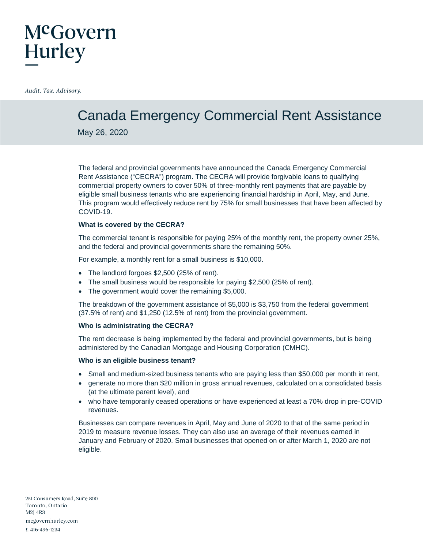### McGovern **Hurley**

Audit. Tax. Advisory.

### Canada Emergency Commercial Rent Assistance

May 26, 2020

The federal and provincial governments have announced the Canada Emergency Commercial Rent Assistance ("CECRA") program. The CECRA will provide forgivable loans to qualifying commercial property owners to cover 50% of three-monthly rent payments that are payable by eligible small business tenants who are experiencing financial hardship in April, May, and June. This program would effectively reduce rent by 75% for small businesses that have been affected by COVID-19.

#### **What is covered by the CECRA?**

The commercial tenant is responsible for paying 25% of the monthly rent, the property owner 25%, and the federal and provincial governments share the remaining 50%.

For example, a monthly rent for a small business is \$10,000.

- The landlord forgoes \$2,500 (25% of rent).
- The small business would be responsible for paying \$2,500 (25% of rent).
- The government would cover the remaining \$5,000.

The breakdown of the government assistance of \$5,000 is \$3,750 from the federal government (37.5% of rent) and \$1,250 (12.5% of rent) from the provincial government.

#### **Who is administrating the CECRA?**

The rent decrease is being implemented by the federal and provincial governments, but is being administered by the Canadian Mortgage and Housing Corporation (CMHC).

#### **Who is an eligible business tenant?**

- Small and medium-sized business tenants who are paying less than \$50,000 per month in rent,
- generate no more than \$20 million in gross annual revenues, calculated on a consolidated basis (at the ultimate parent level), and
- who have temporarily ceased operations or have experienced at least a 70% drop in pre-COVID revenues.

Businesses can compare revenues in April, May and June of 2020 to that of the same period in 2019 to measure revenue losses. They can also use an average of their revenues earned in January and February of 2020. Small businesses that opened on or after March 1, 2020 are not eligible.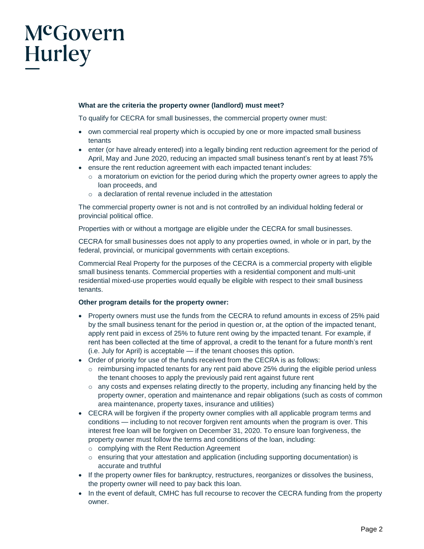# McGovern Hurley

#### **What are the criteria the property owner (landlord) must meet?**

To qualify for CECRA for small businesses, the commercial property owner must:

- own commercial real property which is occupied by one or more impacted small business tenants
- enter (or have already entered) into a legally binding rent reduction agreement for the period of April, May and June 2020, reducing an impacted small business tenant's rent by at least 75%
- ensure the rent reduction agreement with each impacted tenant includes:
	- $\circ$  a moratorium on eviction for the period during which the property owner agrees to apply the loan proceeds, and
	- o a declaration of rental revenue included in the attestation

The commercial property owner is not and is not controlled by an individual holding federal or provincial political office.

Properties with or without a mortgage are eligible under the CECRA for small businesses.

CECRA for small businesses does not apply to any properties owned, in whole or in part, by the federal, provincial, or municipal governments with certain exceptions.

Commercial Real Property for the purposes of the CECRA is a commercial property with eligible small business tenants. Commercial properties with a residential component and multi-unit residential mixed-use properties would equally be eligible with respect to their small business tenants.

#### **Other program details for the property owner:**

- Property owners must use the funds from the CECRA to refund amounts in excess of 25% paid by the small business tenant for the period in question or, at the option of the impacted tenant, apply rent paid in excess of 25% to future rent owing by the impacted tenant. For example, if rent has been collected at the time of approval, a credit to the tenant for a future month's rent (i.e. July for April) is acceptable — if the tenant chooses this option.
- Order of priority for use of the funds received from the CECRA is as follows:
	- $\circ$  reimbursing impacted tenants for any rent paid above 25% during the eligible period unless the tenant chooses to apply the previously paid rent against future rent
	- $\circ$  any costs and expenses relating directly to the property, including any financing held by the property owner, operation and maintenance and repair obligations (such as costs of common area maintenance, property taxes, insurance and utilities)
- CECRA will be forgiven if the property owner complies with all applicable program terms and conditions — including to not recover forgiven rent amounts when the program is over. This interest free loan will be forgiven on December 31, 2020. To ensure loan forgiveness, the property owner must follow the terms and conditions of the loan, including:
	- o complying with the Rent Reduction Agreement
	- o ensuring that your attestation and application (including supporting documentation) is accurate and truthful
- If the property owner files for bankruptcy, restructures, reorganizes or dissolves the business, the property owner will need to pay back this loan.
- In the event of default, CMHC has full recourse to recover the CECRA funding from the property owner.